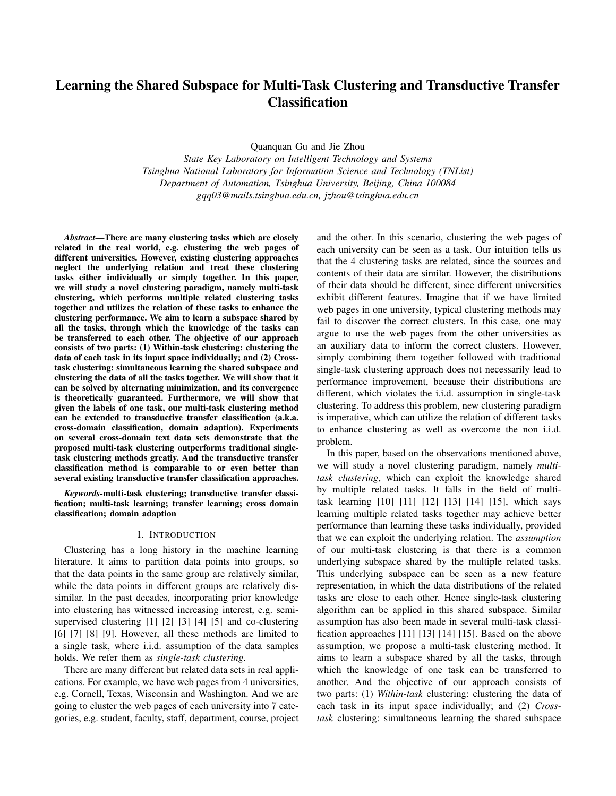# Learning the Shared Subspace for Multi-Task Clustering and Transductive Transfer **Classification**

Quanquan Gu and Jie Zhou

*State Key Laboratory on Intelligent Technology and Systems Tsinghua National Laboratory for Information Science and Technology (TNList) Department of Automation, Tsinghua University, Beijing, China 100084 gqq03@mails.tsinghua.edu.cn, jzhou@tsinghua.edu.cn*

*Abstract*—There are many clustering tasks which are closely related in the real world, e.g. clustering the web pages of different universities. However, existing clustering approaches neglect the underlying relation and treat these clustering tasks either individually or simply together. In this paper, we will study a novel clustering paradigm, namely multi-task clustering, which performs multiple related clustering tasks together and utilizes the relation of these tasks to enhance the clustering performance. We aim to learn a subspace shared by all the tasks, through which the knowledge of the tasks can be transferred to each other. The objective of our approach consists of two parts: (1) Within-task clustering: clustering the data of each task in its input space individually; and (2) Crosstask clustering: simultaneous learning the shared subspace and clustering the data of all the tasks together. We will show that it can be solved by alternating minimization, and its convergence is theoretically guaranteed. Furthermore, we will show that given the labels of one task, our multi-task clustering method can be extended to transductive transfer classification (a.k.a. cross-domain classification, domain adaption). Experiments on several cross-domain text data sets demonstrate that the proposed multi-task clustering outperforms traditional singletask clustering methods greatly. And the transductive transfer classification method is comparable to or even better than several existing transductive transfer classification approaches.

*Keywords*-multi-task clustering; transductive transfer classification; multi-task learning; transfer learning; cross domain classification; domain adaption

## I. INTRODUCTION

Clustering has a long history in the machine learning literature. It aims to partition data points into groups, so that the data points in the same group are relatively similar, while the data points in different groups are relatively dissimilar. In the past decades, incorporating prior knowledge into clustering has witnessed increasing interest, e.g. semisupervised clustering [1] [2] [3] [4] [5] and co-clustering [6] [7] [8] [9]. However, all these methods are limited to a single task, where i.i.d. assumption of the data samples holds. We refer them as *single-task clustering*.

There are many different but related data sets in real applications. For example, we have web pages from 4 universities, e.g. Cornell, Texas, Wisconsin and Washington. And we are going to cluster the web pages of each university into 7 categories, e.g. student, faculty, staff, department, course, project and the other. In this scenario, clustering the web pages of each university can be seen as a task. Our intuition tells us that the 4 clustering tasks are related, since the sources and contents of their data are similar. However, the distributions of their data should be different, since different universities exhibit different features. Imagine that if we have limited web pages in one university, typical clustering methods may fail to discover the correct clusters. In this case, one may argue to use the web pages from the other universities as an auxiliary data to inform the correct clusters. However, simply combining them together followed with traditional single-task clustering approach does not necessarily lead to performance improvement, because their distributions are different, which violates the i.i.d. assumption in single-task clustering. To address this problem, new clustering paradigm is imperative, which can utilize the relation of different tasks to enhance clustering as well as overcome the non i.i.d. problem.

In this paper, based on the observations mentioned above, we will study a novel clustering paradigm, namely *multitask clustering*, which can exploit the knowledge shared by multiple related tasks. It falls in the field of multitask learning [10] [11] [12] [13] [14] [15], which says learning multiple related tasks together may achieve better performance than learning these tasks individually, provided that we can exploit the underlying relation. The *assumption* of our multi-task clustering is that there is a common underlying subspace shared by the multiple related tasks. This underlying subspace can be seen as a new feature representation, in which the data distributions of the related tasks are close to each other. Hence single-task clustering algorithm can be applied in this shared subspace. Similar assumption has also been made in several multi-task classification approaches [11] [13] [14] [15]. Based on the above assumption, we propose a multi-task clustering method. It aims to learn a subspace shared by all the tasks, through which the knowledge of one task can be transferred to another. And the objective of our approach consists of two parts: (1) *Within-task* clustering: clustering the data of each task in its input space individually; and (2) *Crosstask* clustering: simultaneous learning the shared subspace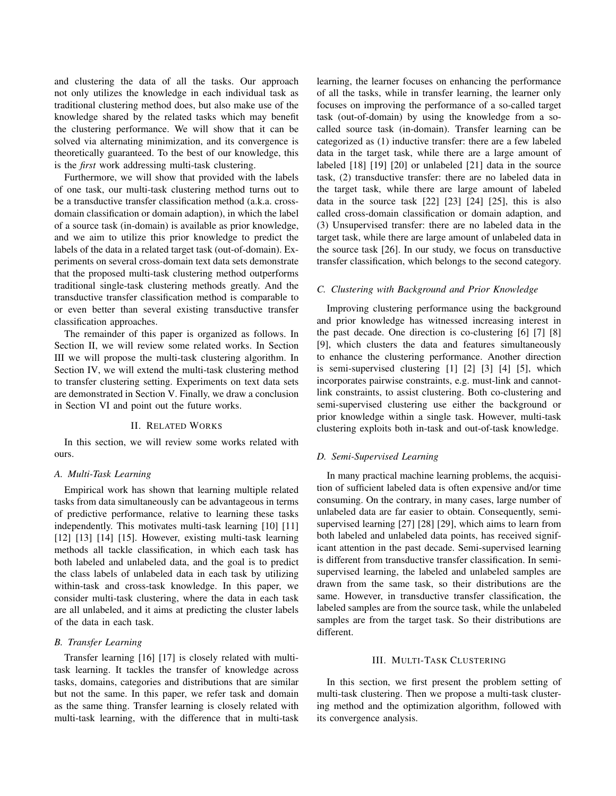and clustering the data of all the tasks. Our approach not only utilizes the knowledge in each individual task as traditional clustering method does, but also make use of the knowledge shared by the related tasks which may benefit the clustering performance. We will show that it can be solved via alternating minimization, and its convergence is theoretically guaranteed. To the best of our knowledge, this is the *first* work addressing multi-task clustering.

Furthermore, we will show that provided with the labels of one task, our multi-task clustering method turns out to be a transductive transfer classification method (a.k.a. crossdomain classification or domain adaption), in which the label of a source task (in-domain) is available as prior knowledge, and we aim to utilize this prior knowledge to predict the labels of the data in a related target task (out-of-domain). Experiments on several cross-domain text data sets demonstrate that the proposed multi-task clustering method outperforms traditional single-task clustering methods greatly. And the transductive transfer classification method is comparable to or even better than several existing transductive transfer classification approaches.

The remainder of this paper is organized as follows. In Section II, we will review some related works. In Section III we will propose the multi-task clustering algorithm. In Section IV, we will extend the multi-task clustering method to transfer clustering setting. Experiments on text data sets are demonstrated in Section V. Finally, we draw a conclusion in Section VI and point out the future works.

## II. RELATED WORKS

In this section, we will review some works related with ours.

# *A. Multi-Task Learning*

Empirical work has shown that learning multiple related tasks from data simultaneously can be advantageous in terms of predictive performance, relative to learning these tasks independently. This motivates multi-task learning [10] [11] [12] [13] [14] [15]. However, existing multi-task learning methods all tackle classification, in which each task has both labeled and unlabeled data, and the goal is to predict the class labels of unlabeled data in each task by utilizing within-task and cross-task knowledge. In this paper, we consider multi-task clustering, where the data in each task are all unlabeled, and it aims at predicting the cluster labels of the data in each task.

# *B. Transfer Learning*

Transfer learning [16] [17] is closely related with multitask learning. It tackles the transfer of knowledge across tasks, domains, categories and distributions that are similar but not the same. In this paper, we refer task and domain as the same thing. Transfer learning is closely related with multi-task learning, with the difference that in multi-task learning, the learner focuses on enhancing the performance of all the tasks, while in transfer learning, the learner only focuses on improving the performance of a so-called target task (out-of-domain) by using the knowledge from a socalled source task (in-domain). Transfer learning can be categorized as (1) inductive transfer: there are a few labeled data in the target task, while there are a large amount of labeled [18] [19] [20] or unlabeled [21] data in the source task, (2) transductive transfer: there are no labeled data in the target task, while there are large amount of labeled data in the source task [22] [23] [24] [25], this is also called cross-domain classification or domain adaption, and (3) Unsupervised transfer: there are no labeled data in the target task, while there are large amount of unlabeled data in the source task [26]. In our study, we focus on transductive transfer classification, which belongs to the second category.

## *C. Clustering with Background and Prior Knowledge*

Improving clustering performance using the background and prior knowledge has witnessed increasing interest in the past decade. One direction is co-clustering [6] [7] [8] [9], which clusters the data and features simultaneously to enhance the clustering performance. Another direction is semi-supervised clustering [1] [2] [3] [4] [5], which incorporates pairwise constraints, e.g. must-link and cannotlink constraints, to assist clustering. Both co-clustering and semi-supervised clustering use either the background or prior knowledge within a single task. However, multi-task clustering exploits both in-task and out-of-task knowledge.

#### *D. Semi-Supervised Learning*

In many practical machine learning problems, the acquisition of sufficient labeled data is often expensive and/or time consuming. On the contrary, in many cases, large number of unlabeled data are far easier to obtain. Consequently, semisupervised learning [27] [28] [29], which aims to learn from both labeled and unlabeled data points, has received significant attention in the past decade. Semi-supervised learning is different from transductive transfer classification. In semisupervised learning, the labeled and unlabeled samples are drawn from the same task, so their distributions are the same. However, in transductive transfer classification, the labeled samples are from the source task, while the unlabeled samples are from the target task. So their distributions are different.

#### III. MULTI-TASK CLUSTERING

In this section, we first present the problem setting of multi-task clustering. Then we propose a multi-task clustering method and the optimization algorithm, followed with its convergence analysis.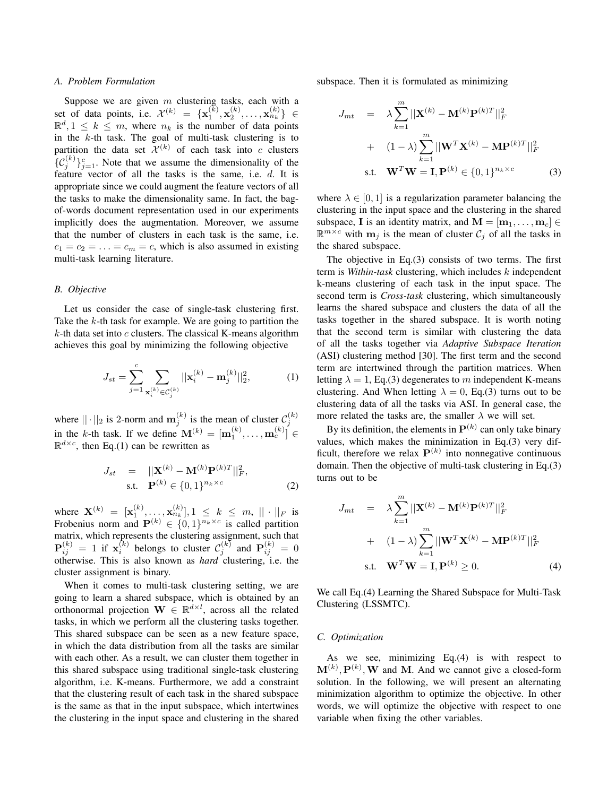# *A. Problem Formulation*

Suppose we are given  $m$  clustering tasks, each with a set of data points, i.e.  $\mathcal{X}^{(k)} = {\{\mathbf{x}_{1}^{(\bar{k})}, \mathbf{x}_{2}^{(k)}, \dots, \mathbf{x}_{n_{k}}^{(k)}\}} \in$  $\mathbb{R}^d$ ,  $1 \leq k \leq m$ , where  $n_k$  is the number of data points in the  $k$ -th task. The goal of multi-task clustering is to partition the data set  $\mathcal{X}^{(k)}$  of each task into c clusters  $\{C_j^{(k)}\}_{j=1}^c$ . Note that we assume the dimensionality of the feature vector of all the tasks is the same, i.e. d. It is appropriate since we could augment the feature vectors of all the tasks to make the dimensionality same. In fact, the bagof-words document representation used in our experiments implicitly does the augmentation. Moreover, we assume that the number of clusters in each task is the same, i.e.  $c_1 = c_2 = \ldots = c_m = c$ , which is also assumed in existing multi-task learning literature.

## *B. Objective*

Let us consider the case of single-task clustering first. Take the  $k$ -th task for example. We are going to partition the  $k$ -th data set into  $c$  clusters. The classical K-means algorithm achieves this goal by minimizing the following objective

$$
J_{st} = \sum_{j=1}^{c} \sum_{\mathbf{x}_{i}^{(k)} \in \mathcal{C}_{j}^{(k)}} ||\mathbf{x}_{i}^{(k)} - \mathbf{m}_{j}^{(k)}||_{2}^{2},
$$
 (1)

where  $||\cdot||_2$  is 2-norm and  $m_j^{(k)}$  is the mean of cluster  $\mathcal{C}_j^{(k)}$ in the k-th task. If we define  $\mathbf{M}^{(k)} = [\mathbf{m}_1^{(k)}, \dots, \mathbf{m}_c^{(k)}] \in$  $\mathbb{R}^{d \times c}$ , then Eq.(1) can be rewritten as

$$
J_{st} = ||\mathbf{X}^{(k)} - \mathbf{M}^{(k)} \mathbf{P}^{(k)T}||_F^2,
$$
  
s.t.  $\mathbf{P}^{(k)} \in \{0, 1\}^{n_k \times c}$  (2)

where  $\mathbf{X}^{(k)} = [\mathbf{x}_1^{(k)}, \dots, \mathbf{x}_{n_k}^{(k)}], 1 \leq k \leq m, ||\cdot||_F$  is Frobenius norm and  $\mathbf{P}^{(k)} \in \{0,1\}^{n_k \times c}$  is called partition matrix, which represents the clustering assignment, such that  $\mathbf{P}_{ij}^{(k)} = 1$  if  $\mathbf{x}_i^{(k)}$  belongs to cluster  $\mathcal{C}_j^{(k)}$  and  $\mathbf{P}_{ij}^{(k)} = 0$ otherwise. This is also known as *hard* clustering, i.e. the cluster assignment is binary.

When it comes to multi-task clustering setting, we are going to learn a shared subspace, which is obtained by an orthonormal projection  $\mathbf{W} \in \mathbb{R}^{d \times l}$ , across all the related tasks, in which we perform all the clustering tasks together. This shared subspace can be seen as a new feature space, in which the data distribution from all the tasks are similar with each other. As a result, we can cluster them together in this shared subspace using traditional single-task clustering algorithm, i.e. K-means. Furthermore, we add a constraint that the clustering result of each task in the shared subspace is the same as that in the input subspace, which intertwines the clustering in the input space and clustering in the shared subspace. Then it is formulated as minimizing

$$
J_{mt} = \lambda \sum_{k=1}^{m} ||\mathbf{X}^{(k)} - \mathbf{M}^{(k)} \mathbf{P}^{(k)T}||_F^2
$$
  
+ 
$$
(1 - \lambda) \sum_{k=1}^{m} ||\mathbf{W}^T \mathbf{X}^{(k)} - \mathbf{M} \mathbf{P}^{(k)T}||_F^2
$$
  
s.t. 
$$
\mathbf{W}^T \mathbf{W} = \mathbf{I}, \mathbf{P}^{(k)} \in \{0, 1\}^{n_k \times c}
$$
(3)

where  $\lambda \in [0, 1]$  is a regularization parameter balancing the clustering in the input space and the clustering in the shared subspace, I is an identity matrix, and  $\mathbf{M} = [\mathbf{m}_1, \dots, \mathbf{m}_c] \in$  $\mathbb{R}^{m \times c}$  with  $m_j$  is the mean of cluster  $\mathcal{C}_j$  of all the tasks in the shared subspace.

The objective in Eq.(3) consists of two terms. The first term is *Within-task* clustering, which includes k independent k-means clustering of each task in the input space. The second term is *Cross-task* clustering, which simultaneously learns the shared subspace and clusters the data of all the tasks together in the shared subspace. It is worth noting that the second term is similar with clustering the data of all the tasks together via *Adaptive Subspace Iteration* (ASI) clustering method [30]. The first term and the second term are intertwined through the partition matrices. When letting  $\lambda = 1$ , Eq.(3) degenerates to m independent K-means clustering. And When letting  $\lambda = 0$ , Eq.(3) turns out to be clustering data of all the tasks via ASI. In general case, the more related the tasks are, the smaller  $\lambda$  we will set.

By its definition, the elements in  $\mathbf{P}^{(k)}$  can only take binary values, which makes the minimization in Eq.(3) very difficult, therefore we relax  $P^{(k)}$  into nonnegative continuous domain. Then the objective of multi-task clustering in Eq.(3) turns out to be

$$
J_{mt} = \lambda \sum_{k=1}^{m} ||\mathbf{X}^{(k)} - \mathbf{M}^{(k)} \mathbf{P}^{(k)T}||_F^2
$$
  
+ 
$$
(1 - \lambda) \sum_{k=1}^{m} ||\mathbf{W}^T \mathbf{X}^{(k)} - \mathbf{M} \mathbf{P}^{(k)T}||_F^2
$$
  
s.t. 
$$
\mathbf{W}^T \mathbf{W} = \mathbf{I}, \mathbf{P}^{(k)} \ge 0.
$$
 (4)

We call Eq.(4) Learning the Shared Subspace for Multi-Task Clustering (LSSMTC).

## *C. Optimization*

As we see, minimizing Eq.(4) is with respect to  $M^{(k)}, P^{(k)}$ , W and M. And we cannot give a closed-form solution. In the following, we will present an alternating minimization algorithm to optimize the objective. In other words, we will optimize the objective with respect to one variable when fixing the other variables.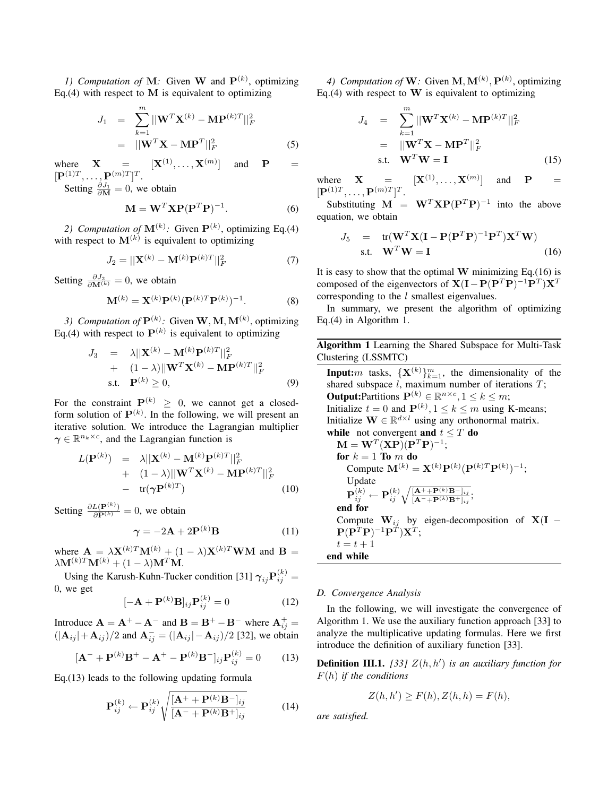*1)* Computation of M: Given **W** and  $P^{(k)}$ , optimizing Eq.(4) with respect to  $M$  is equivalent to optimizing

$$
J_1 = \sum_{k=1}^{m} ||\mathbf{W}^T \mathbf{X}^{(k)} - \mathbf{M} \mathbf{P}^{(k)T}||_F^2
$$
  
= 
$$
||\mathbf{W}^T \mathbf{X} - \mathbf{M} \mathbf{P}^T||_F^2
$$
(5)

where  $\mathbf{X} = [\mathbf{X}^{(1)}, \dots, \mathbf{X}^{(m)}]$  and  $\mathbf{P} =$  $[\mathbf{P}^{(1)T}, \dots, \mathbf{P}^{(m)T}]^T.$ 

Setting  $\frac{\partial J_1}{\partial M} = 0$ , we obtain

$$
\mathbf{M} = \mathbf{W}^T \mathbf{X} \mathbf{P} (\mathbf{P}^T \mathbf{P})^{-1}.
$$
 (6)

2) *Computation of*  $\mathbf{M}^{(k)}$ : Given  $\mathbf{P}^{(k)}$ , optimizing Eq.(4) with respect to  $\mathbf{M}^{(k)}$  is equivalent to optimizing

$$
J_2 = ||\mathbf{X}^{(k)} - \mathbf{M}^{(k)} \mathbf{P}^{(k)T}||_F^2
$$
 (7)

Setting  $\frac{\partial J_2}{\partial \mathbf{M}^{(k)}} = 0$ , we obtain

$$
\mathbf{M}^{(k)} = \mathbf{X}^{(k)} \mathbf{P}^{(k)} (\mathbf{P}^{(k)T} \mathbf{P}^{(k)})^{-1}.
$$
 (8)

3) Computation of  $P^{(k)}$ : Given **W**, **M**, **M**<sup>(k)</sup>, optimizing Eq.(4) with respect to  $\mathbf{P}^{(k)}$  is equivalent to optimizing

$$
J_3 = \lambda ||\mathbf{X}^{(k)} - \mathbf{M}^{(k)} \mathbf{P}^{(k)T}||_F^2
$$
  
+ 
$$
(1 - \lambda) ||\mathbf{W}^T \mathbf{X}^{(k)} - \mathbf{M} \mathbf{P}^{(k)T}||_F^2
$$
  
s.t. 
$$
\mathbf{P}^{(k)} \ge 0,
$$
 (9)

For the constraint  $P^{(k)} \geq 0$ , we cannot get a closedform solution of  $P^{(k)}$ . In the following, we will present an iterative solution. We introduce the Lagrangian multiplier  $\gamma \in \mathbb{R}^{n_k \times c}$ , and the Lagrangian function is

$$
L(\mathbf{P}^{(k)}) = \lambda ||\mathbf{X}^{(k)} - \mathbf{M}^{(k)} \mathbf{P}^{(k)T}||_F^2
$$
  
+ 
$$
(1 - \lambda) ||\mathbf{W}^T \mathbf{X}^{(k)} - \mathbf{M} \mathbf{P}^{(k)T}||_F^2
$$
  
- 
$$
tr(\gamma \mathbf{P}^{(k)T})
$$
(10)

Setting  $\frac{\partial L(\mathbf{P}^{(k)})}{\partial \mathbf{P}^{(k)}} = 0$ , we obtain

$$
\gamma = -2\mathbf{A} + 2\mathbf{P}^{(k)}\mathbf{B} \tag{11}
$$

where  $\mathbf{A} = \lambda \mathbf{X}^{(k)T} \mathbf{M}^{(k)} + (1 - \lambda) \mathbf{X}^{(k)T} \mathbf{W} \mathbf{M}$  and  $\mathbf{B} =$  $\lambda \mathbf{M}^{(k)T} \mathbf{M}^{(k)} + (1 - \lambda) \mathbf{M}^T \mathbf{M}.$ 

Using the Karush-Kuhn-Tucker condition [31]  $\gamma_{ij} \mathbf{P}_{ij}^{(k)} =$ 0, we get

$$
[-\mathbf{A} + \mathbf{P}^{(k)} \mathbf{B}]_{ij} \mathbf{P}_{ij}^{(k)} = 0
$$
 (12)

Introduce  $\mathbf{A} = \mathbf{A}^+ - \mathbf{A}^-$  and  $\mathbf{B} = \mathbf{B}^+ - \mathbf{B}^-$  where  $\mathbf{A}_{ij}^+$  $(|A_{ij}|+A_{ij})/2$  and  $A_{ij}^- = (|A_{ij}|-A_{ij})/2$  [32], we obtain

$$
[\mathbf{A}^{-} + \mathbf{P}^{(k)} \mathbf{B}^{+} - \mathbf{A}^{+} - \mathbf{P}^{(k)} \mathbf{B}^{-}]_{ij} \mathbf{P}_{ij}^{(k)} = 0 \qquad (13)
$$

Eq.(13) leads to the following updating formula

$$
\mathbf{P}_{ij}^{(k)} \leftarrow \mathbf{P}_{ij}^{(k)} \sqrt{\frac{[\mathbf{A}^+ + \mathbf{P}^{(k)} \mathbf{B}^-]_{ij}}{[\mathbf{A}^- + \mathbf{P}^{(k)} \mathbf{B}^+]_{ij}}}
$$
(14)

4) Computation of **W**: Given **M**,  $\mathbf{M}^{(k)}$ ,  $\mathbf{P}^{(k)}$ , optimizing Eq.(4) with respect to  $W$  is equivalent to optimizing

$$
J_4 = \sum_{k=1}^{m} ||\mathbf{W}^T \mathbf{X}^{(k)} - \mathbf{M} \mathbf{P}^{(k)T}||_F^2
$$
  
= 
$$
||\mathbf{W}^T \mathbf{X} - \mathbf{M} \mathbf{P}^T||_F^2
$$
  
s.t. 
$$
\mathbf{W}^T \mathbf{W} = \mathbf{I}
$$
(15)

where  $\mathbf{X} = [\mathbf{X}^{(1)}, \dots, \mathbf{X}^{(m)}]$  and  $\mathbf{P} =$  $[\mathbf{P}^{(1)T},\ldots,\mathbf{P}^{(m)T}]^T.$ 

Substituting  $M = W^T \mathbf{X} \mathbf{P}(\mathbf{P}^T \mathbf{P})^{-1}$  into the above equation, we obtain

$$
J_5 = \text{tr}(\mathbf{W}^T \mathbf{X} (\mathbf{I} - \mathbf{P}(\mathbf{P}^T \mathbf{P})^{-1} \mathbf{P}^T) \mathbf{X}^T \mathbf{W})
$$
  
s.t.  $\mathbf{W}^T \mathbf{W} = \mathbf{I}$  (16)

It is easy to show that the optimal  $W$  minimizing Eq.(16) is composed of the eigenvectors of  $X(I - P(P<sup>T</sup>P)<sup>-1</sup>P<sup>T</sup>)X<sup>T</sup>$ corresponding to the l smallest eigenvalues.

In summary, we present the algorithm of optimizing Eq.(4) in Algorithm 1.

Algorithm 1 Learning the Shared Subspace for Multi-Task Clustering (LSSMTC)

**Input:***m* tasks,  $\{X^{(k)}\}_{k=1}^m$ , the dimensionality of the shared subspace  $l$ , maximum number of iterations  $T$ ; **Output:**Partitions  $\mathbf{P}^{(k)} \in \mathbb{R}^{n \times c}$ ,  $1 \leq k \leq m$ ; Initialize  $t = 0$  and  $\mathbf{P}^{(k)}$ ,  $1 \le k \le m$  using K-means; Initialize  $\mathbf{W} \in \mathbb{R}^{d \times l}$  using any orthonormal matrix. while not convergent and  $t \leq T$  do  $\mathbf{M} = \mathbf{W}^T (\mathbf{X} \mathbf{P}) (\mathbf{P}^T \mathbf{P})^{-1};$ for  $k = 1$  To  $m$  do Compute  $\mathbf{M}^{(k)} = \mathbf{X}^{(k)} \mathbf{P}^{(k)} (\mathbf{P}^{(k)T} \mathbf{P}^{(k)})^{-1};$ Update Update<br>  ${\bf P}_{ij}^{(k)} \leftarrow {\bf P}_{ij}^{(k)} \sqrt{\frac{[{\bf A}^+ + {\bf P}^{(k)}{\bf B}^-]_{ij}}{[{\bf A}^- + {\bf P}^{(k)}{\bf B}^+]_{ij}}};$ end for Compute  $\mathbf{W}_{ij}$  by eigen-decomposition of  $\mathbf{X}(\mathbf{I} - \mathbf{I})$  $\mathbf{P}(\mathbf{P}^T\mathbf{P})^{-1}\mathbf{P}^T)\mathbf{X}^T;$  $t = t + 1$ end while

#### *D. Convergence Analysis*

In the following, we will investigate the convergence of Algorithm 1. We use the auxiliary function approach [33] to analyze the multiplicative updating formulas. Here we first introduce the definition of auxiliary function [33].

**Definition III.1.** [33]  $Z(h, h')$  is an auxiliary function for F(h) *if the conditions*

$$
Z(h, h') \ge F(h), Z(h, h) = F(h),
$$

*are satisfied.*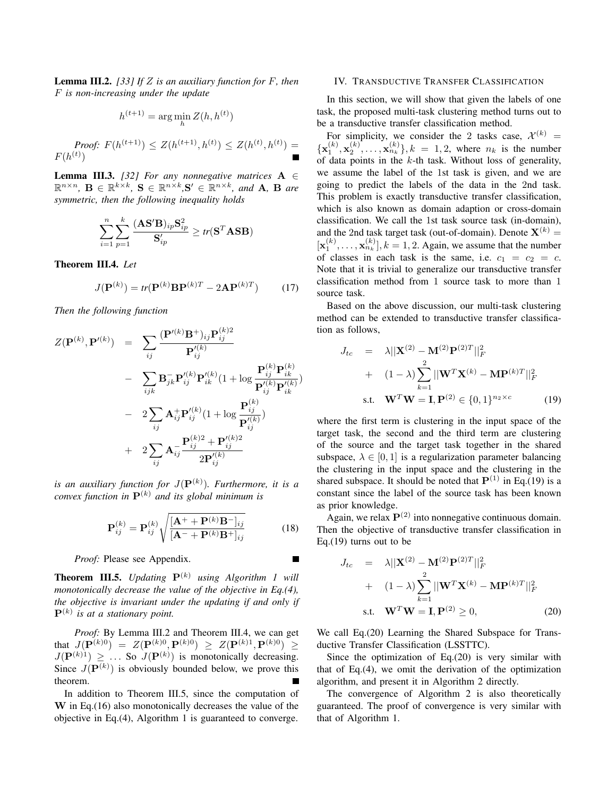Lemma III.2. *[33] If* Z *is an auxiliary function for* F*, then* F *is non-increasing under the update*

$$
h^{(t+1)} = \arg\min_{h} Z(h, h^{(t)})
$$
  
Proof:  $F(h^{(t+1)}) \le Z(h^{(t+1)}, h^{(t)}) \le Z(h^{(t)}, h^{(t)}) = F(h^{(t)})$ 

Lemma III.3. *[32] For any nonnegative matrices* A ∈  $\mathbb{R}^{n \times n}$ ,  $\mathbf{B} \in \mathbb{R}^{k \times k}$ ,  $\mathbf{S} \in \mathbb{R}^{n \times k}$ ,  $\mathbf{S}' \in \mathbb{R}^{n \times k}$ , and **A**, **B** are *symmetric, then the following inequality holds*

$$
\sum_{i=1}^{n}\sum_{p=1}^{k}\frac{(\mathbf{AS}'\mathbf{B})_{ip}\mathbf{S}_{ip}^{2}}{\mathbf{S}_{ip}'}\geq tr(\mathbf{S}^{T}\mathbf{ASB})
$$

Theorem III.4. *Let*

$$
J(\mathbf{P}^{(k)}) = tr(\mathbf{P}^{(k)} \mathbf{B} \mathbf{P}^{(k)T} - 2\mathbf{A} \mathbf{P}^{(k)T})
$$
 (17)

*Then the following function*

$$
Z(\mathbf{P}^{(k)}, \mathbf{P}'^{(k)}) = \sum_{ij} \frac{(\mathbf{P}'^{(k)}\mathbf{B}^{+})_{ij}\mathbf{P}_{ij}^{(k)}}{\mathbf{P}'^{(k)}_{ij}} - \sum_{ijk} \mathbf{B}_{jk}^{-} \mathbf{P}'^{(k)}_{ij} \mathbf{P}'^{(k)}_{ik} (1 + \log \frac{\mathbf{P}^{(k)}_{ij}\mathbf{P}^{(k)}_{ik}}{\mathbf{P}'^{(k)}_{ij}\mathbf{P}'^{(k)}_{ik}}) - 2\sum_{ij} \mathbf{A}_{ij}^{+} \mathbf{P}'^{(k)}_{ij} (1 + \log \frac{\mathbf{P}^{(k)}_{ij}}{\mathbf{P}'^{(k)}_{ij}}) + 2\sum_{ij} \mathbf{A}_{ij}^{-} \frac{\mathbf{P}^{(k)2}_{ij} + \mathbf{P}'^{(k)2}_{ij}}{2\mathbf{P}'^{(k)}_{ij}}
$$

is an auxiliary function for  $J(\mathbf{P}^{(k)})$ . Furthermore, it is a *convex function in*  $P^{(k)}$  *and its global minimum is* 

$$
\mathbf{P}_{ij}^{(k)} = \mathbf{P}_{ij}^{(k)} \sqrt{\frac{[\mathbf{A}^+ + \mathbf{P}^{(k)} \mathbf{B}^-]_{ij}}{[\mathbf{A}^- + \mathbf{P}^{(k)} \mathbf{B}^+]_{ij}}}
$$
(18)

*Proof:* Please see Appendix.

Theorem III.5. *Updating* P(k) *using Algorithm 1 will monotonically decrease the value of the objective in Eq.(4), the objective is invariant under the updating if and only if* P(k) *is at a stationary point.*

*Proof:* By Lemma III.2 and Theorem III.4, we can get that  $J(\mathbf{P}^{(k)0}) = Z(\mathbf{P}^{(k)0}, \mathbf{P}^{(k)0}) \geq Z(\mathbf{P}^{(k)1}, \mathbf{P}^{(k)0}) \geq$  $J(\mathbf{P}^{(k)1}) \geq \ldots$  So  $J(\mathbf{P}^{(k)})$  is monotonically decreasing. Since  $J(\mathbf{P}^{(k)})$  is obviously bounded below, we prove this theorem.

In addition to Theorem III.5, since the computation of W in Eq.(16) also monotonically decreases the value of the objective in Eq.(4), Algorithm 1 is guaranteed to converge.

#### IV. TRANSDUCTIVE TRANSFER CLASSIFICATION

In this section, we will show that given the labels of one task, the proposed multi-task clustering method turns out to be a transductive transfer classification method.

For simplicity, we consider the 2 tasks case,  $\mathcal{X}^{(k)}$  =  ${x_1^{(k)}, x_2^{(k)}, \ldots, x_{n_k}^{(k)}}$ ,  $k = 1, 2$ , where  $n_k$  is the number of data points in the  $k$ -th task. Without loss of generality, we assume the label of the 1st task is given, and we are going to predict the labels of the data in the 2nd task. This problem is exactly transductive transfer classification, which is also known as domain adaption or cross-domain classification. We call the 1st task source task (in-domain), and the 2nd task target task (out-of-domain). Denote  $X^{(k)} =$  $[\mathbf{x}_1^{(k)}, \dots, \mathbf{x}_{n_k}^{(k)}], k = 1, 2$ . Again, we assume that the number of classes in each task is the same, i.e.  $c_1 = c_2 = c$ . Note that it is trivial to generalize our transductive transfer classification method from 1 source task to more than 1 source task.

Based on the above discussion, our multi-task clustering method can be extended to transductive transfer classification as follows,

$$
J_{tc} = \lambda ||\mathbf{X}^{(2)} - \mathbf{M}^{(2)} \mathbf{P}^{(2)T}||_F^2
$$
  
+  $(1 - \lambda) \sum_{k=1}^{2} ||\mathbf{W}^T \mathbf{X}^{(k)} - \mathbf{M} \mathbf{P}^{(k)T}||_F^2$   
s.t.  $\mathbf{W}^T \mathbf{W} = \mathbf{I}, \mathbf{P}^{(2)} \in \{0, 1\}^{n_2 \times c}$  (19)

where the first term is clustering in the input space of the target task, the second and the third term are clustering of the source and the target task together in the shared subspace,  $\lambda \in [0, 1]$  is a regularization parameter balancing the clustering in the input space and the clustering in the shared subspace. It should be noted that  $P^{(1)}$  in Eq.(19) is a constant since the label of the source task has been known as prior knowledge.

Again, we relax  $\mathbf{P}^{(2)}$  into nonnegative continuous domain. Then the objective of transductive transfer classification in Eq.(19) turns out to be

$$
J_{tc} = \lambda ||\mathbf{X}^{(2)} - \mathbf{M}^{(2)} \mathbf{P}^{(2)T}||_F^2
$$
  
+ 
$$
(1 - \lambda) \sum_{k=1}^{2} ||\mathbf{W}^T \mathbf{X}^{(k)} - \mathbf{M} \mathbf{P}^{(k)T}||_F^2
$$
  
s.t. 
$$
\mathbf{W}^T \mathbf{W} = \mathbf{I}, \mathbf{P}^{(2)} \ge 0,
$$
 (20)

We call Eq.(20) Learning the Shared Subspace for Transductive Transfer Classification (LSSTTC).

Since the optimization of Eq.(20) is very similar with that of Eq.(4), we omit the derivation of the optimization algorithm, and present it in Algorithm 2 directly.

The convergence of Algorithm 2 is also theoretically guaranteed. The proof of convergence is very similar with that of Algorithm 1.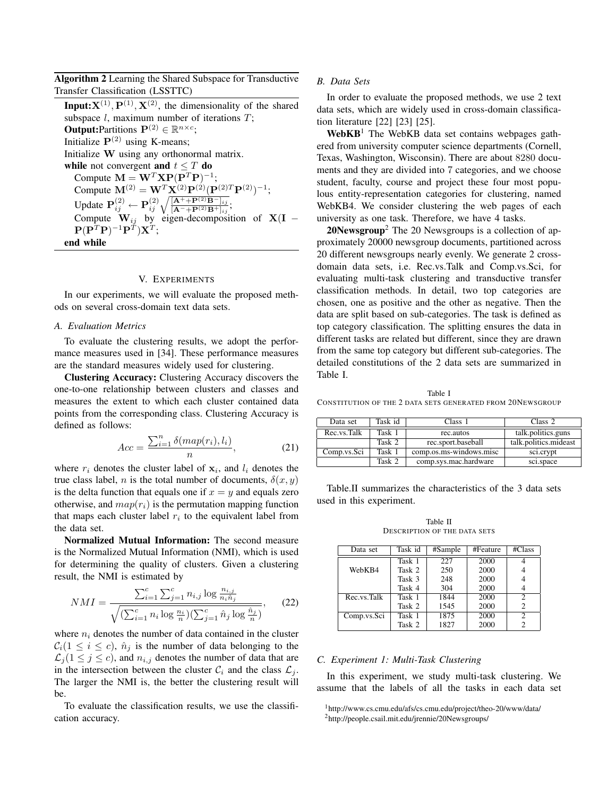Algorithm 2 Learning the Shared Subspace for Transductive Transfer Classification (LSSTTC)

**Input:**  $X^{(1)}$ ,  $P^{(1)}$ ,  $X^{(2)}$ , the dimensionality of the shared subspace  $l$ , maximum number of iterations  $T$ ; **Output:**Partitions  $\mathbf{P}^{(2)} \in \mathbb{R}^{n \times c}$ ; Initialize  $P^{(2)}$  using K-means; Initialize W using any orthonormal matrix. while not convergent and  $t \leq T$  do Compute  $\mathbf{M} = \mathbf{W}^T \mathbf{X} \mathbf{P} (\mathbf{P}^T \mathbf{P})^{-1};$ Compute  $M^{(2)} = W^T X^{(2)} P^{(2)} (P^{(2)T} P^{(2)})^{-1};$ Compute M<sup>(2)</sup> = W<sup>1</sup> X<sup>(2)</sup>P<sup>(2)</sup>(P<sup>(2)1</sup>)<br>Update P<sub>ij</sub> ← P<sub>ij</sub>  $\sqrt{\frac{[A^{+}+P^{(2)}B^{-}]_{ij}}{[A^{-}+P^{(2)}B^{+}]_{ij}}};$ Compute  $W_{ij}$  by eigen-decomposition of  $X(I \mathbf{P}(\mathbf{P}^T\mathbf{P})^{-1}\mathbf{P}^T)\mathbf{X}^T;$ end while

# V. EXPERIMENTS

In our experiments, we will evaluate the proposed methods on several cross-domain text data sets.

## *A. Evaluation Metrics*

To evaluate the clustering results, we adopt the performance measures used in [34]. These performance measures are the standard measures widely used for clustering.

Clustering Accuracy: Clustering Accuracy discovers the one-to-one relationship between clusters and classes and measures the extent to which each cluster contained data points from the corresponding class. Clustering Accuracy is defined as follows:

$$
Acc = \frac{\sum_{i=1}^{n} \delta(map(r_i), l_i)}{n}, \tag{21}
$$

where  $r_i$  denotes the cluster label of  $x_i$ , and  $l_i$  denotes the true class label, *n* is the total number of documents,  $\delta(x, y)$ is the delta function that equals one if  $x = y$  and equals zero otherwise, and  $map(r_i)$  is the permutation mapping function that maps each cluster label  $r_i$  to the equivalent label from the data set.

Normalized Mutual Information: The second measure is the Normalized Mutual Information (NMI), which is used for determining the quality of clusters. Given a clustering result, the NMI is estimated by

$$
NMI = \frac{\sum_{i=1}^{c} \sum_{j=1}^{c} n_{i,j} \log \frac{n_{i,j}}{n_i \hat{n}_j}}{\sqrt{(\sum_{i=1}^{c} n_i \log \frac{n_i}{n})(\sum_{j=1}^{c} \hat{n}_j \log \frac{\hat{n}_j}{n})}},
$$
(22)

where  $n_i$  denotes the number of data contained in the cluster  $C_i(1 \leq i \leq c)$ ,  $\hat{n}_j$  is the number of data belonging to the  $\mathcal{L}_j$  ( $1 \leq j \leq c$ ), and  $n_{i,j}$  denotes the number of data that are in the intersection between the cluster  $\mathcal{C}_i$  and the class  $\mathcal{L}_i$ . The larger the NMI is, the better the clustering result will be.

To evaluate the classification results, we use the classification accuracy.

## *B. Data Sets*

In order to evaluate the proposed methods, we use 2 text data sets, which are widely used in cross-domain classification literature [22] [23] [25].

 $WebKB<sup>1</sup>$  The WebKB data set contains webpages gathered from university computer science departments (Cornell, Texas, Washington, Wisconsin). There are about 8280 documents and they are divided into 7 categories, and we choose student, faculty, course and project these four most populous entity-representation categories for clustering, named WebKB4. We consider clustering the web pages of each university as one task. Therefore, we have 4 tasks.

**20Newsgroup**<sup>2</sup> The 20 Newsgroups is a collection of approximately 20000 newsgroup documents, partitioned across 20 different newsgroups nearly evenly. We generate 2 crossdomain data sets, i.e. Rec.vs.Talk and Comp.vs.Sci, for evaluating multi-task clustering and transductive transfer classification methods. In detail, two top categories are chosen, one as positive and the other as negative. Then the data are split based on sub-categories. The task is defined as top category classification. The splitting ensures the data in different tasks are related but different, since they are drawn from the same top category but different sub-categories. The detailed constitutions of the 2 data sets are summarized in Table I.

Table I CONSTITUTION OF THE 2 DATA SETS GENERATED FROM 20NEWSGROUP

| Data set    | Task id | Class 1                 | Class <sub>2</sub>    |
|-------------|---------|-------------------------|-----------------------|
| Rec.vs.Talk | Task 1  | rec.autos               | talk.politics.guns    |
|             | Task 2  | rec.sport.baseball      | talk.politics.mideast |
| Comp.vs.Sci | Task 1  | comp.os.ms-windows.misc | sci.crypt             |
|             | Task 2  | comp.sys.mac.hardware   | sci.space             |

Table.II summarizes the characteristics of the 3 data sets used in this experiment.

Table II DESCRIPTION OF THE DATA SETS

| Data set    | Task id | #Sample | #Feature | #Class |
|-------------|---------|---------|----------|--------|
|             | Task 1  | 227     | 2000     |        |
| WebKB4      | Task 2  | 250     | 2000     |        |
|             | Task 3  | 248     | 2000     |        |
|             | Task 4  | 304     | 2000     |        |
| Rec.vs.Talk | Task 1  | 1844    | 2000     | っ      |
|             | Task 2  | 1545    | 2000     | C      |
| Comp.vs.Sci | Task 1  | 1875    | 2000     | っ      |
|             | Task 2  | 1827    | 2000     |        |

## *C. Experiment 1: Multi-Task Clustering*

In this experiment, we study multi-task clustering. We assume that the labels of all the tasks in each data set

<sup>1</sup>http://www.cs.cmu.edu/afs/cs.cmu.edu/project/theo-20/www/data/

<sup>2</sup>http://people.csail.mit.edu/jrennie/20Newsgroups/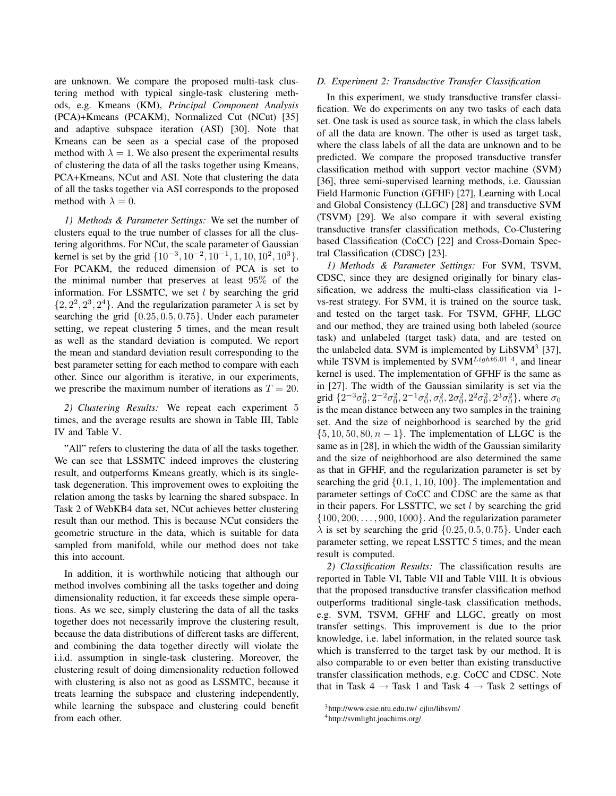are unknown. We compare the proposed multi-task clustering method with typical single-task clustering methods, e.g. Kmeans (KM), *Principal Component Analysis* (PCA)+Kmeans (PCAKM), Normalized Cut (NCut) [35] and adaptive subspace iteration (ASI) [30]. Note that Kmeans can be seen as a special case of the proposed method with  $\lambda = 1$ . We also present the experimental results of clustering the data of all the tasks together using Kmeans, PCA+Kmeans, NCut and ASI. Note that clustering the data of all the tasks together via ASI corresponds to the proposed method with  $\lambda = 0$ .

*1) Methods & Parameter Settings:* We set the number of clusters equal to the true number of classes for all the clustering algorithms. For NCut, the scale parameter of Gaussian kernel is set by the grid  $\{10^{-3}, 10^{-2}, 10^{-1}, 1, 10, 10^{2}, 10^{3}\}.$ For PCAKM, the reduced dimension of PCA is set to the minimal number that preserves at least 95% of the information. For LSSMTC, we set  $l$  by searching the grid  $\{2, 2^2, 2^3, 2^4\}$ . And the regularization parameter  $\lambda$  is set by searching the grid  $\{0.25, 0.5, 0.75\}$ . Under each parameter setting, we repeat clustering 5 times, and the mean result as well as the standard deviation is computed. We report the mean and standard deviation result corresponding to the best parameter setting for each method to compare with each other. Since our algorithm is iterative, in our experiments, we prescribe the maximum number of iterations as  $T = 20$ .

*2) Clustering Results:* We repeat each experiment 5 times, and the average results are shown in Table III, Table IV and Table V.

"All" refers to clustering the data of all the tasks together. We can see that LSSMTC indeed improves the clustering result, and outperforms Kmeans greatly, which is its singletask degeneration. This improvement owes to exploiting the relation among the tasks by learning the shared subspace. In Task 2 of WebKB4 data set, NCut achieves better clustering result than our method. This is because NCut considers the geometric structure in the data, which is suitable for data sampled from manifold, while our method does not take this into account.

In addition, it is worthwhile noticing that although our method involves combining all the tasks together and doing dimensionality reduction, it far exceeds these simple operations. As we see, simply clustering the data of all the tasks together does not necessarily improve the clustering result, because the data distributions of different tasks are different, and combining the data together directly will violate the i.i.d. assumption in single-task clustering. Moreover, the clustering result of doing dimensionality reduction followed with clustering is also not as good as LSSMTC, because it treats learning the subspace and clustering independently, while learning the subspace and clustering could benefit from each other.

## *D. Experiment 2: Transductive Transfer Classification*

In this experiment, we study transductive transfer classification. We do experiments on any two tasks of each data set. One task is used as source task, in which the class labels of all the data are known. The other is used as target task, where the class labels of all the data are unknown and to be predicted. We compare the proposed transductive transfer classification method with support vector machine (SVM) [36], three semi-supervised learning methods, i.e. Gaussian Field Harmonic Function (GFHF) [27], Learning with Local and Global Consistency (LLGC) [28] and transductive SVM (TSVM) [29]. We also compare it with several existing transductive transfer classification methods, Co-Clustering based Classification (CoCC) [22] and Cross-Domain Spectral Classification (CDSC) [23].

*1) Methods & Parameter Settings:* For SVM, TSVM, CDSC, since they are designed originally for binary classification, we address the multi-class classification via 1 vs-rest strategy. For SVM, it is trained on the source task, and tested on the target task. For TSVM, GFHF, LLGC and our method, they are trained using both labeled (source task) and unlabeled (target task) data, and are tested on the unlabeled data. SVM is implemented by LibSVM<sup>3</sup> [37], while TSVM is implemented by  $SVM<sup>Light6.01-4</sup>$ , and linear kernel is used. The implementation of GFHF is the same as in [27]. The width of the Gaussian similarity is set via the grid  $\{2^{-3}\sigma_0^2, 2^{-2}\sigma_0^2, 2^{-1}\sigma_0^2, \sigma_0^2, 2\sigma_0^2, 2^2\sigma_0^2, 2^3\sigma_0^2\}$ , where  $\sigma_0$ is the mean distance between any two samples in the training set. And the size of neighborhood is searched by the grid  $\{5, 10, 50, 80, n-1\}$ . The implementation of LLGC is the same as in [28], in which the width of the Gaussian similarity and the size of neighborhood are also determined the same as that in GFHF, and the regularization parameter is set by searching the grid  $\{0.1, 1, 10, 100\}$ . The implementation and parameter settings of CoCC and CDSC are the same as that in their papers. For LSSTTC, we set  $l$  by searching the grid  $\{100, 200, \ldots, 900, 1000\}$ . And the regularization parameter  $\lambda$  is set by searching the grid  $\{0.25, 0.5, 0.75\}$ . Under each parameter setting, we repeat LSSTTC 5 times, and the mean result is computed.

*2) Classification Results:* The classification results are reported in Table VI, Table VII and Table VIII. It is obvious that the proposed transductive transfer classification method outperforms traditional single-task classification methods, e.g. SVM, TSVM, GFHF and LLGC, greatly on most transfer settings. This improvement is due to the prior knowledge, i.e. label information, in the related source task which is transferred to the target task by our method. It is also comparable to or even better than existing transductive transfer classification methods, e.g. CoCC and CDSC. Note that in Task 4  $\rightarrow$  Task 1 and Task 4  $\rightarrow$  Task 2 settings of

<sup>3</sup>http://www.csie.ntu.edu.tw/ cjlin/libsvm/

<sup>4</sup>http://svmlight.joachims.org/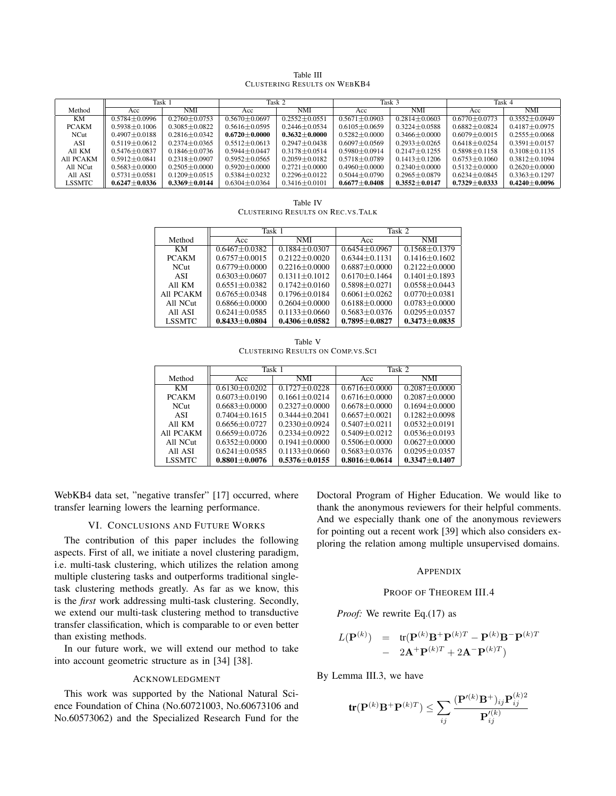Table III CLUSTERING RESULTS ON WEBKB4

|              |                     | Task 1              | Task 2              |                     | Task 3              |                     | Task 4              |                   |
|--------------|---------------------|---------------------|---------------------|---------------------|---------------------|---------------------|---------------------|-------------------|
| Method       | Acc                 | NMI                 | Acc                 | NMI                 | Acc                 | NMI                 | Acc                 | <b>NMI</b>        |
| KМ           | $0.5784 + 0.0996$   | $0.2760 + 0.0753$   | $0.5670 + 0.0697$   | $0.2552 \pm 0.0551$ | $0.5671 + 0.0903$   | $0.2814 + 0.0603$   | $0.6770 + 0.0773$   | $0.3552 + 0.0949$ |
| <b>PCAKM</b> | $0.5938 + 0.1006$   | $0.3085 + 0.0822$   | $0.5616 + 0.0595$   | $0.2446 + 0.0534$   | $0.6105 + 0.0659$   | $0.3224 + 0.0588$   | $0.6882 + 0.0824$   | $0.4187 + 0.0975$ |
| NCut         | $0.4907 + 0.0188$   | $0.2816 + 0.0342$   | $0.6720 + 0.0000$   | $0.3632 + 0.0000$   | $0.5282 + 0.0000$   | $0.3466 + 0.0000$   | $0.6079 + 0.0015$   | $0.2555 + 0.0068$ |
| ASI          | $0.5119 + 0.0612$   | $0.2374 \pm 0.0365$ | $0.5512 + 0.0613$   | $0.2947 \pm 0.0438$ | $0.6097 + 0.0569$   | $0.2933 + 0.0265$   | $0.6418 + 0.0254$   | $0.3591 + 0.0157$ |
| All KM       | $0.5476 + 0.0837$   | $0.1846 + 0.0736$   | $0.5944 + 0.0447$   | $0.3178 + 0.0514$   | $0.5980 + 0.0914$   | $0.2147 + 0.1255$   | $0.5898 + 0.1158$   | $0.3108 + 0.1135$ |
| All PCAKM    | $0.5912 \pm 0.0841$ | $0.2318 + 0.0907$   | $0.5952 + 0.0565$   | $0.2059 + 0.0182$   | $0.5718 + 0.0789$   | $0.1413 + 0.1206$   | $0.6753 + 0.1060$   | $0.3812 + 0.1094$ |
| All NCut     | $0.5683 + 0.0000$   | $0.2505 + 0.0000$   | $0.5920 + 0.0000$   | $0.2721 + 0.0000$   | $0.4960 + 0.0000$   | $0.2340 + 0.0000$   | $0.5132 + 0.0000$   | $0.2620 + 0.0000$ |
| All ASI      | $0.5731 + 0.0581$   | $0.1209 + 0.0515$   | $0.5384 \pm 0.0232$ | $0.2296 + 0.0122$   | $0.5044 + 0.0790$   | $0.2965 + 0.0879$   | $0.6234 \pm 0.0845$ | $0.3363 + 0.1297$ |
| LSSMTC       | $0.6247 \pm 0.0336$ | $0.3369 \pm 0.0144$ | $0.6304 \pm 0.0364$ | $0.3416 \pm 0.0101$ | $0.6677 \pm 0.0408$ | $0.3552 \pm 0.0147$ | $0.7329 \pm 0.0333$ | $0.4240 + 0.0096$ |

Table IV CLUSTERING RESULTS ON REC.VS.TALK

|               | Task 1              |                     | Task 2            |                     |  |
|---------------|---------------------|---------------------|-------------------|---------------------|--|
| Method        | Acc                 | <b>NMI</b>          | Acc               | NMI                 |  |
| KM            | $0.6467 + 0.0382$   | $0.1884 + 0.0307$   | $0.6454 + 0.0967$ | $0.1568 \pm 0.1379$ |  |
| <b>PCAKM</b>  | $0.6757 + 0.0015$   | $0.2122 + 0.0020$   | $0.6344 + 0.1131$ | $0.1416 + 0.1602$   |  |
| NCut.         | $0.6779 + 0.0000$   | $0.2216 + 0.0000$   | $0.6887 + 0.0000$ | $0.2122 + 0.0000$   |  |
| ASI           | $0.6303 + 0.0607$   | $0.1311 + 0.1012$   | $0.6170 + 0.1464$ | $0.1401 + 0.1893$   |  |
| All KM        | $0.6551 + 0.0382$   | $0.1742 + 0.0160$   | $0.5898 + 0.0271$ | $0.0558 + 0.0443$   |  |
| All PCAKM     | $0.6765 + 0.0348$   | $0.1796 + 0.0184$   | $0.6061 + 0.0262$ | $0.0770 + 0.0381$   |  |
| All NCut      | $0.6866 + 0.0000$   | $0.2604 \pm 0.0000$ | $0.6188 + 0.0000$ | $0.0783 + 0.0000$   |  |
| All ASI       | $0.6241 \pm 0.0585$ | $0.1133 + 0.0660$   | $0.5683 + 0.0376$ | $0.0295 + 0.0357$   |  |
| <b>LSSMTC</b> | $0.8433 \pm 0.0804$ | $0.4306 + 0.0582$   | $0.7895 + 0.0827$ | $0.3473 + 0.0835$   |  |

Table V CLUSTERING RESULTS ON COMP.VS.SCI

|               | Task 1              |                   | Task 2            |                     |  |  |  |  |  |  |
|---------------|---------------------|-------------------|-------------------|---------------------|--|--|--|--|--|--|
| Method        | Acc                 | NMI               | Acc               | NMI                 |  |  |  |  |  |  |
| KM            | $0.6130 \pm 0.0202$ | $0.1727 + 0.0228$ | $0.6716 + 0.0000$ | $0.2087 + 0.0000$   |  |  |  |  |  |  |
| <b>PCAKM</b>  | $0.6073 + 0.0190$   | $0.1661 + 0.0214$ | $0.6716 + 0.0000$ | $0.2087 \pm 0.0000$ |  |  |  |  |  |  |
| NCut.         | $0.6683 + 0.0000$   | $0.2327 + 0.0000$ | $0.6678 + 0.0000$ | $0.1694 + 0.0000$   |  |  |  |  |  |  |
| ASI           | $0.7404 \pm 0.1615$ | $0.3444 + 0.2041$ | $0.6657 + 0.0021$ | $0.1282 + 0.0098$   |  |  |  |  |  |  |
| All KM        | $0.6656 \pm 0.0727$ | $0.2330 + 0.0924$ | $0.5407 + 0.0211$ | $0.0532 + 0.0191$   |  |  |  |  |  |  |
| All PCAKM     | $0.6659 + 0.0726$   | $0.2334 + 0.0922$ | $0.5409 + 0.0212$ | $0.0536 + 0.0193$   |  |  |  |  |  |  |
| All NCut      | $0.6352 + 0.0000$   | $0.1941 + 0.0000$ | $0.5506 + 0.0000$ | $0.0627 + 0.0000$   |  |  |  |  |  |  |
| All ASI       | $0.6241 + 0.0585$   | $0.1133 + 0.0660$ | $0.5683 + 0.0376$ | $0.0295 + 0.0357$   |  |  |  |  |  |  |
| <b>LSSMTC</b> | $0.8801 + 0.0076$   | $0.5376 + 0.0155$ | $0.8016 + 0.0614$ | $0.3347 + 0.1407$   |  |  |  |  |  |  |

WebKB4 data set, "negative transfer" [17] occurred, where transfer learning lowers the learning performance.

# VI. CONCLUSIONS AND FUTURE WORKS

The contribution of this paper includes the following aspects. First of all, we initiate a novel clustering paradigm, i.e. multi-task clustering, which utilizes the relation among multiple clustering tasks and outperforms traditional singletask clustering methods greatly. As far as we know, this is the *first* work addressing multi-task clustering. Secondly, we extend our multi-task clustering method to transductive transfer classification, which is comparable to or even better than existing methods.

In our future work, we will extend our method to take into account geometric structure as in [34] [38].

#### ACKNOWLEDGMENT

This work was supported by the National Natural Science Foundation of China (No.60721003, No.60673106 and No.60573062) and the Specialized Research Fund for the Doctoral Program of Higher Education. We would like to thank the anonymous reviewers for their helpful comments. And we especially thank one of the anonymous reviewers for pointing out a recent work [39] which also considers exploring the relation among multiple unsupervised domains.

#### APPENDIX

# PROOF OF THEOREM III.4

*Proof:* We rewrite Eq.(17) as

$$
L(\mathbf{P}^{(k)}) = \text{tr}(\mathbf{P}^{(k)}\mathbf{B}^+\mathbf{P}^{(k)T} - \mathbf{P}^{(k)}\mathbf{B}^-\mathbf{P}^{(k)T}
$$

$$
- 2\mathbf{A}^+\mathbf{P}^{(k)T} + 2\mathbf{A}^-\mathbf{P}^{(k)T})
$$

By Lemma III.3, we have

$$
\text{tr}(\mathbf{P}^{(k)}\mathbf{B}^+\mathbf{P}^{(k)T}) \leq \sum_{ij} \frac{(\mathbf{P}'^{(k)}\mathbf{B}^+)_{ij}\mathbf{P}^{(k)2}_{ij}}{\mathbf{P}'^{(k)}_{ij}}
$$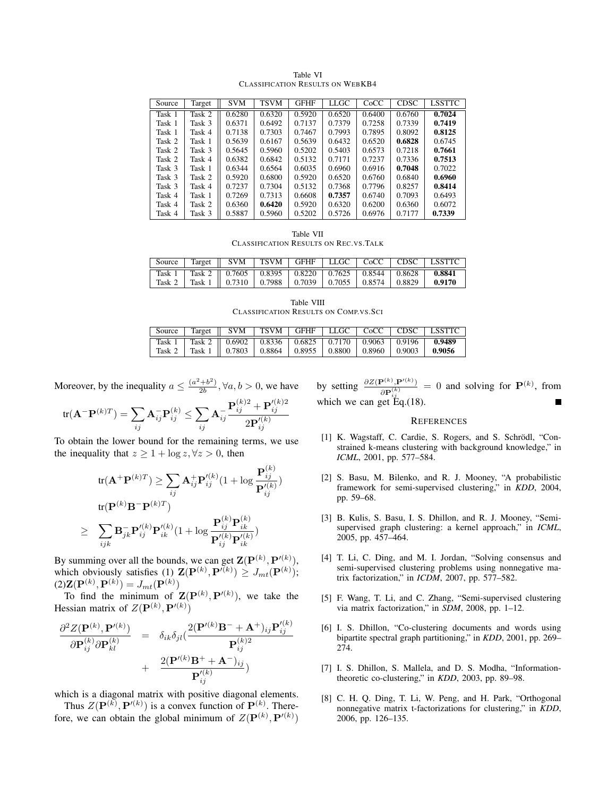| Source | Target | <b>SVM</b> | TSVM   | <b>GFHF</b> | LLGC   | CoCC   | CDSC   | <b>LSSTTC</b> |
|--------|--------|------------|--------|-------------|--------|--------|--------|---------------|
| Task 1 | Task 2 | 0.6280     | 0.6320 | 0.5920      | 0.6520 | 0.6400 | 0.6760 | 0.7024        |
| Task 1 | Task 3 | 0.6371     | 0.6492 | 0.7137      | 0.7379 | 0.7258 | 0.7339 | 0.7419        |
| Task 1 | Task 4 | 0.7138     | 0.7303 | 0.7467      | 0.7993 | 0.7895 | 0.8092 | 0.8125        |
| Task 2 | Task 1 | 0.5639     | 0.6167 | 0.5639      | 0.6432 | 0.6520 | 0.6828 | 0.6745        |
| Task 2 | Task 3 | 0.5645     | 0.5960 | 0.5202      | 0.5403 | 0.6573 | 0.7218 | 0.7661        |
| Task 2 | Task 4 | 0.6382     | 0.6842 | 0.5132      | 0.7171 | 0.7237 | 0.7336 | 0.7513        |
| Task 3 | Task 1 | 0.6344     | 0.6564 | 0.6035      | 0.6960 | 0.6916 | 0.7048 | 0.7022        |
| Task 3 | Task 2 | 0.5920     | 0.6800 | 0.5920      | 0.6520 | 0.6760 | 0.6840 | 0.6960        |
| Task 3 | Task 4 | 0.7237     | 0.7304 | 0.5132      | 0.7368 | 0.7796 | 0.8257 | 0.8414        |
| Task 4 | Task 1 | 0.7269     | 0.7313 | 0.6608      | 0.7357 | 0.6740 | 0.7093 | 0.6493        |
| Task 4 | Task 2 | 0.6360     | 0.6420 | 0.5920      | 0.6320 | 0.6200 | 0.6360 | 0.6072        |
| Task 4 | Task 3 | 0.5887     | 0.5960 | 0.5202      | 0.5726 | 0.6976 | 0.7177 | 0.7339        |

Table VI CLASSIFICATION RESULTS ON WEBKB4

Table VII CLASSIFICATION RESULTS ON REC.VS.TALK

|                                                                                 |  |  |  | Source   Target    SVM   TSVM   GFHF   LLGC   CoCC   CDSC   LSSTTC |
|---------------------------------------------------------------------------------|--|--|--|--------------------------------------------------------------------|
| Task 1   Task 2    0.7605   0.8395   0.8220   0.7625   0.8544   0.8628   0.8841 |  |  |  |                                                                    |
| Task 2   Task 1    0.7310   0.7988   0.7039   0.7055   0.8574   0.8829          |  |  |  | - 0.9170                                                           |

Table VIII CLASSIFICATION RESULTS ON COMP.VS.SCI

| Source | Target    SVM                                                             |  |  | TSVM   GFHF   LLGC   CoCC   CDSC   LSSTTC |
|--------|---------------------------------------------------------------------------|--|--|-------------------------------------------|
| Task 1 | Task 2    $0.6902$   $0.8336$   $0.6825$   $0.7170$   $0.9063$   $0.9196$ |  |  | 0.9489                                    |
| Task 2 | Task 1    0.7803   0.8864   0.8955   0.8800   0.8960   0.9003             |  |  | 0.9056                                    |

Moreover, by the inequality  $a \leq \frac{(a^2+b^2)}{2b}$  $\frac{(+b^{-})}{2b}$ ,  $\forall a, b > 0$ , we have

$$
\text{tr}(\mathbf{A}^-\mathbf{P}^{(k)T}) = \sum_{ij} \mathbf{A}_{ij}^-\mathbf{P}_{ij}^{(k)} \le \sum_{ij} \mathbf{A}_{ij}^-\frac{\mathbf{P}_{ij}^{(k)2} + \mathbf{P}_{ij}^{\prime(k)2}}{2\mathbf{P}_{ij}^{\prime(k)}}
$$

To obtain the lower bound for the remaining terms, we use the inequality that  $z \geq 1 + \log z$ ,  $\forall z > 0$ , then

$$
\operatorname{tr}(\mathbf{A}^+\mathbf{P}^{(k)T}) \ge \sum_{ij} \mathbf{A}_{ij}^+\mathbf{P}_{ij}^{\prime(k)}(1 + \log \frac{\mathbf{P}_{ij}^{(k)}}{\mathbf{P}_{ij}^{\prime(k)}})
$$

$$
\operatorname{tr}(\mathbf{P}^{(k)}\mathbf{B}^-\mathbf{P}^{(k)T})
$$

$$
\ge \sum_{ijk} \mathbf{B}_{jk}^-\mathbf{P}_{ij}^{\prime(k)}\mathbf{P}_{ik}^{\prime(k)}(1 + \log \frac{\mathbf{P}_{ij}^{(k)}\mathbf{P}_{ik}^{(k)}}{\mathbf{P}_{ij}^{\prime(k)}\mathbf{P}_{ik}^{\prime(k)}})
$$

By summing over all the bounds, we can get  $\mathbf{Z}(\mathbf{P}^{(k)},\mathbf{P}'^{(k)}),$ which obviously satisfies (1)  $\mathbf{Z}(\mathbf{P}^{(k)}, \mathbf{P}'^{(k)}) \ge J_{mt}(\mathbf{P}^{(k)})$ ;  $(2){\mathbf Z}({\mathbf P}^{(k)},{\mathbf P}^{(k)}) = J_{mt}({\mathbf P}^{(k)})$ 

To find the minimum of  $\mathbf{Z}(\mathbf{P}^{(k)},\mathbf{P}'^{(k)})$ , we take the Hessian matrix of  $Z(\mathbf{P}^{(k)}, \mathbf{P}^{\prime(k)})$ 

$$
\begin{array}{ccc}\frac{\partial^2 Z(\mathbf{P}^{(k)},\mathbf{P}'^{(k)})}{\partial \mathbf{P}_{ij}^{(k)}\partial \mathbf{P}_{kl}^{(k)}}&=&\delta_{ik}\delta_{jl}(\frac{2(\mathbf{P}'^{(k)}\mathbf{B}^- + \mathbf{A}^+)_{ij}\mathbf{P}'^{(k)}_{ij}}{\mathbf{P}_{ij}^{(k)2}}\\ &&+\frac{2(\mathbf{P}'^{(k)}\mathbf{B}^+ + \mathbf{A}^-)_{ij}}{\mathbf{P}'^{(k)}_{ij}})\end{array}
$$

which is a diagonal matrix with positive diagonal elements.

Thus  $Z(\mathbf{P}^{(k)}, \mathbf{P}^{\prime(k)})$  is a convex function of  $\mathbf{P}^{(k)}$ . Therefore, we can obtain the global minimum of  $Z(\mathbf{P}^{(k)}, \mathbf{P}^{(k)})$  by setting  $\frac{\partial Z(\mathbf{P}^{(k)}, \mathbf{P}'^{(k)})}{\partial \mathbf{D}^{(k)}}$  $\frac{\partial P^{(k)}, P^{(k)}(r)}{\partial P^{(k)}_{ij}} = 0$  and solving for  $P^{(k)}$ , from which we can get Eq.(18).

#### **REFERENCES**

- [1] K. Wagstaff, C. Cardie, S. Rogers, and S. Schrödl, "Constrained k-means clustering with background knowledge," in *ICML*, 2001, pp. 577–584.
- [2] S. Basu, M. Bilenko, and R. J. Mooney, "A probabilistic framework for semi-supervised clustering," in *KDD*, 2004, pp. 59–68.
- [3] B. Kulis, S. Basu, I. S. Dhillon, and R. J. Mooney, "Semisupervised graph clustering: a kernel approach," in *ICML*, 2005, pp. 457–464.
- [4] T. Li, C. Ding, and M. I. Jordan, "Solving consensus and semi-supervised clustering problems using nonnegative matrix factorization," in *ICDM*, 2007, pp. 577–582.
- [5] F. Wang, T. Li, and C. Zhang, "Semi-supervised clustering via matrix factorization," in *SDM*, 2008, pp. 1–12.
- [6] I. S. Dhillon, "Co-clustering documents and words using bipartite spectral graph partitioning," in *KDD*, 2001, pp. 269– 274.
- [7] I. S. Dhillon, S. Mallela, and D. S. Modha, "Informationtheoretic co-clustering," in *KDD*, 2003, pp. 89–98.
- [8] C. H. Q. Ding, T. Li, W. Peng, and H. Park, "Orthogonal nonnegative matrix t-factorizations for clustering," in *KDD*, 2006, pp. 126–135.